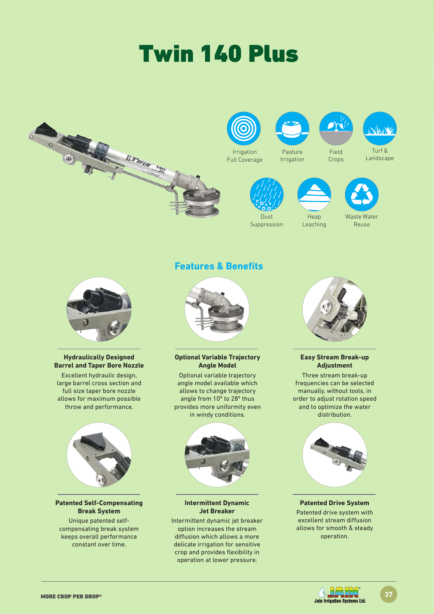# Twin 140 Plus





### **Hydraulically Designed Barrel and Taper Bore Nozzle**

Excellent hydraulic design, large barrel cross section and full size taper bore nozzle allows for maximum possible throw and performance.



### **Break System**

Unique patented selfcompensating break system keeps overall performance constant over time.

## **Features & Benefits**

**Optional Variable Trajectory Angle Model**

Optional variable trajectory angle model available which allows to change trajectory angle from 10º to 28º thus provides more uniformity even in windy conditions.



### **Intermittent Dynamic Jet Breaker**

Intermittent dynamic jet breaker option increases the stream diffusion which allows a more delicate irrigation for sensitive crop and provides flexibility in operation at lower pressure.



### **Easy Stream Break-up Adjustment**

Three stream break-up frequencies can be selected manually, without tools, in order to adjust rotation speed and to optimize the water distribution.



### **Patented Drive System**

Patented drive system with excellent stream diffusion allows for smooth & steady operation.